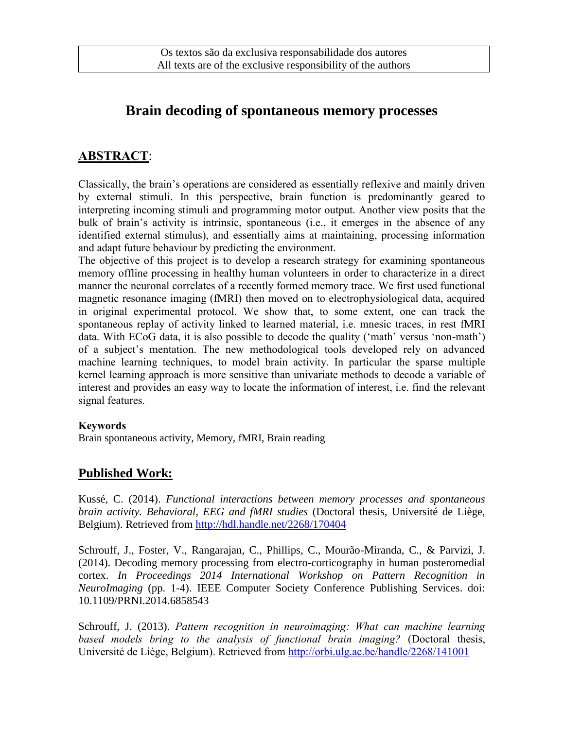# **Brain decoding of spontaneous memory processes**

## **ABSTRACT**:

Classically, the brain's operations are considered as essentially reflexive and mainly driven by external stimuli. In this perspective, brain function is predominantly geared to interpreting incoming stimuli and programming motor output. Another view posits that the bulk of brain's activity is intrinsic, spontaneous (i.e., it emerges in the absence of any identified external stimulus), and essentially aims at maintaining, processing information and adapt future behaviour by predicting the environment.

The objective of this project is to develop a research strategy for examining spontaneous memory offline processing in healthy human volunteers in order to characterize in a direct manner the neuronal correlates of a recently formed memory trace. We first used functional magnetic resonance imaging (fMRI) then moved on to electrophysiological data, acquired in original experimental protocol. We show that, to some extent, one can track the spontaneous replay of activity linked to learned material, i.e. mnesic traces, in rest fMRI data. With ECoG data, it is also possible to decode the quality ('math' versus 'non-math') of a subject's mentation. The new methodological tools developed rely on advanced machine learning techniques, to model brain activity. In particular the sparse multiple kernel learning approach is more sensitive than univariate methods to decode a variable of interest and provides an easy way to locate the information of interest, i.e. find the relevant signal features.

#### **Keywords**

Brain spontaneous activity, Memory, fMRI, Brain reading

### **Published Work:**

Kussé, C. (2014). *Functional interactions between memory processes and spontaneous brain activity. Behavioral, EEG and fMRI studies* (Doctoral thesis, Université de Liège, Belgium). Retrieved from<http://hdl.handle.net/2268/170404>

Schrouff, J., Foster, V., Rangarajan, C., Phillips, C., Mourão-Miranda, C., & Parvizi, J. (2014). Decoding memory processing from electro-corticography in human posteromedial cortex. *In Proceedings 2014 International Workshop on Pattern Recognition in NeuroImaging* (pp. 1-4). IEEE Computer Society Conference Publishing Services. doi: 10.1109/PRNI.2014.6858543

Schrouff, J. (2013). *Pattern recognition in neuroimaging: What can machine learning based models bring to the analysis of functional brain imaging?* (Doctoral thesis, Université de Liège, Belgium). Retrieved from<http://orbi.ulg.ac.be/handle/2268/141001>